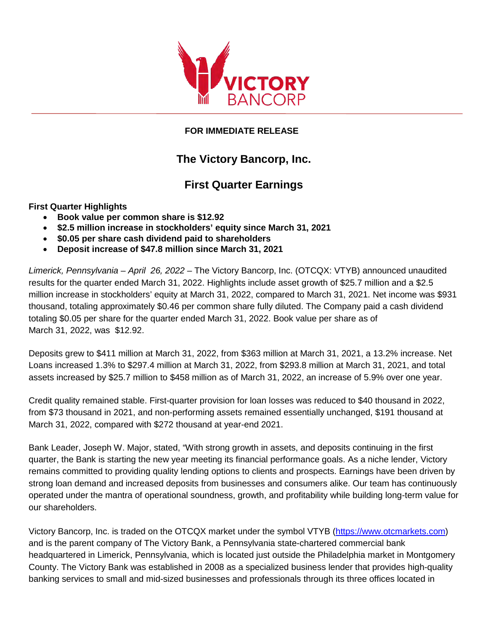

## **FOR IMMEDIATE RELEASE**

## **The Victory Bancorp, Inc.**

## **First Quarter Earnings**

**First Quarter Highlights** 

- **Book value per common share is \$12.92**
- **\$2.5 million increase in stockholders' equity since March 31, 2021**
- **\$0.05 per share cash dividend paid to shareholders**
- **Deposit increase of \$47.8 million since March 31, 2021**

 *Limerick, Pennsylvania – April 26, 2022* – The Victory Bancorp, Inc. (OTCQX: VTYB) announced unaudited thousand, totaling approximately \$0.46 per common share fully diluted. The Company paid a cash dividend results for the quarter ended March 31, 2022. Highlights include asset growth of \$25.7 million and a \$2.5 million increase in stockholders' equity at March 31, 2022, compared to March 31, 2021. Net income was \$931 totaling \$0.05 per share for the quarter ended March 31, 2022. Book value per share as of March 31, 2022, was \$12.92.

 assets increased by \$25.7 million to \$458 million as of March 31, 2022, an increase of 5.9% over one year. Deposits grew to \$411 million at March 31, 2022, from \$363 million at March 31, 2021, a 13.2% increase. Net Loans increased 1.3% to \$297.4 million at March 31, 2022, from \$293.8 million at March 31, 2021, and total

Credit quality remained stable. First-quarter provision for loan losses was reduced to \$40 thousand in 2022, from \$73 thousand in 2021, and non-performing assets remained essentially unchanged, \$191 thousand at March 31, 2022, compared with \$272 thousand at year-end 2021.

 Bank Leader, Joseph W. Major, stated, "With strong growth in assets, and deposits continuing in the first strong loan demand and increased deposits from businesses and consumers alike. Our team has continuously operated under the mantra of operational soundness, growth, and profitability while building long-term value for quarter, the Bank is starting the new year meeting its financial performance goals. As a niche lender, Victory remains committed to providing quality lending options to clients and prospects. Earnings have been driven by our shareholders.

Victory Bancorp, Inc. is traded on the OTCQX market under the symbol VTYB [\(https://www.otcmarkets.com\)](https://www.otcmarkets.com/stock/VTYB/overview) County. The Victory Bank was established in 2008 as a specialized business lender that provides high-quality and is the parent company of The Victory Bank, a Pennsylvania state-chartered commercial bank headquartered in Limerick, Pennsylvania, which is located just outside the Philadelphia market in Montgomery banking services to small and mid-sized businesses and professionals through its three offices located in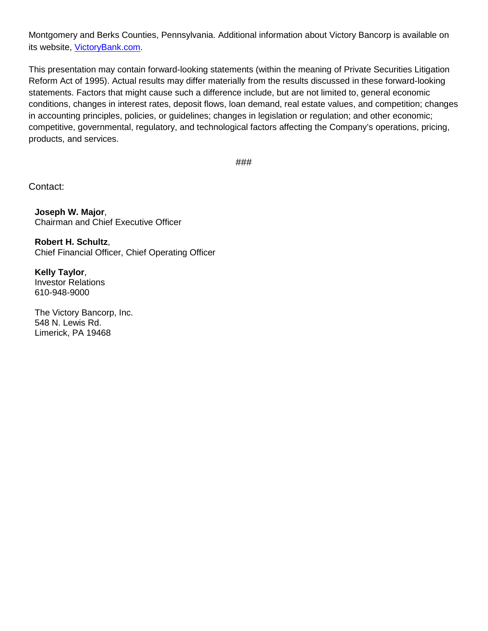Montgomery and Berks Counties, Pennsylvania. Additional information about Victory Bancorp is available on its website, [VictoryBank.com.](https://www.victorybank.com/)

 statements. Factors that might cause such a difference include, but are not limited to, general economic in accounting principles, policies, or guidelines; changes in legislation or regulation; and other economic; This presentation may contain forward-looking statements (within the meaning of Private Securities Litigation Reform Act of 1995). Actual results may differ materially from the results discussed in these forward-looking conditions, changes in interest rates, deposit flows, loan demand, real estate values, and competition; changes competitive, governmental, regulatory, and technological factors affecting the Company's operations, pricing, products, and services.

###

Contact:

**Joseph W. Major**, Chairman and Chief Executive Officer

**Robert H. Schultz**, Chief Financial Officer, Chief Operating Officer

**Kelly Taylor**, Investor Relations 610-948-9000

The Victory Bancorp, Inc. 548 N. Lewis Rd. Limerick, PA 19468